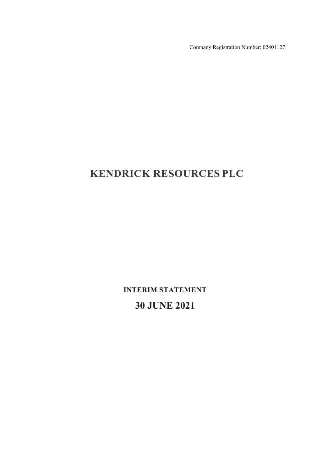Company Registration Number: 02401127

# **KENDRICK RESOURCES PLC**

**INTERIM STATEMENT**

**30 JUNE 2021**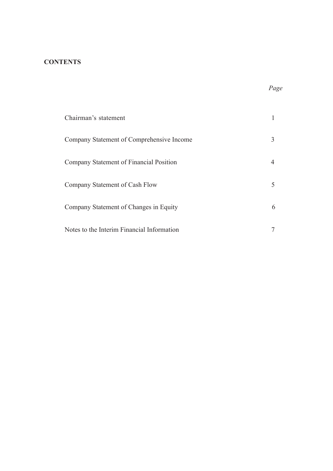### **CONTENTS**

| Chairman's statement                       |   |
|--------------------------------------------|---|
| Company Statement of Comprehensive Income  |   |
| Company Statement of Financial Position    |   |
| Company Statement of Cash Flow             |   |
| Company Statement of Changes in Equity     | 6 |
| Notes to the Interim Financial Information |   |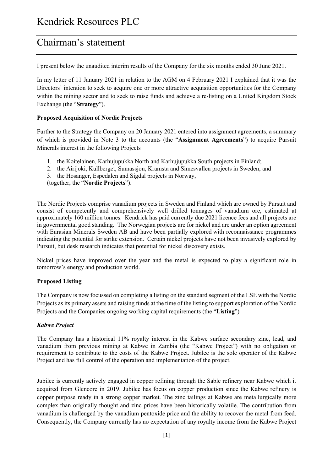# Chairman's statement

I present below the unaudited interim results of the Company for the six months ended 30 June 2021.

In my letter of 11 January 2021 in relation to the AGM on 4 February 2021 I explained that it was the Directors' intention to seek to acquire one or more attractive acquisition opportunities for the Company within the mining sector and to seek to raise funds and achieve a re-listing on a United Kingdom Stock Exchange (the "**Strategy**").

### **Proposed Acquisition of Nordic Projects**

Further to the Strategy the Company on 20 January 2021 entered into assignment agreements, a summary of which is provided in Note 3 to the accounts (the "**Assignment Agreements**") to acquire Pursuit Minerals interest in the following Projects

- 1. the Koitelainen, Karhujupukka North and Karhujupukka South projects in Finland;
- 2. the Airijoki, Kullberget, Sumassjon, Kramsta and Simesvallen projects in Sweden; and
- 3. the Hosanger, Espedalen and Sigdal projects in Norway,

(together, the "**Nordic Projects**").

The Nordic Projects comprise vanadium projects in Sweden and Finland which are owned by Pursuit and consist of competently and comprehensively well drilled tonnages of vanadium ore, estimated at approximately 160 million tonnes. Kendrick has paid currently due 2021 licence fees and all projects are in governmental good standing. The Norwegian projects are for nickel and are under an option agreement with Eurasian Minerals Sweden AB and have been partially explored with reconnaissance programmes indicating the potential for strike extension. Certain nickel projects have not been invasively explored by Pursuit, but desk research indicates that potential for nickel discovery exists.

Nickel prices have improved over the year and the metal is expected to play a significant role in tomorrow's energy and production world.

### **Proposed Listing**

The Company is now focussed on completing a listing on the standard segment of the LSE with the Nordic Projects as its primary assets and raising funds at the time of the listing to support exploration of the Nordic Projects and the Companies ongoing working capital requirements (the "**Listing**")

#### *Kabwe Project*

The Company has a historical 11% royalty interest in the Kabwe surface secondary zinc, lead, and vanadium from previous mining at Kabwe in Zambia (the "Kabwe Project") with no obligation or requirement to contribute to the costs of the Kabwe Project. Jubilee is the sole operator of the Kabwe Project and has full control of the operation and implementation of the project.

Jubilee is currently actively engaged in copper refining through the Sable refinery near Kabwe which it acquired from Glencore in 2019. Jubilee has focus on copper production since the Kabwe refinery is copper purpose ready in a strong copper market. The zinc tailings at Kabwe are metallurgically more complex than originally thought and zinc prices have been historically volatile. The contribution from vanadium is challenged by the vanadium pentoxide price and the ability to recover the metal from feed. Consequently, the Company currently has no expectation of any royalty income from the Kabwe Project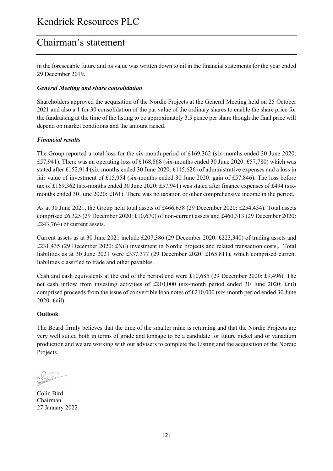# Chairman's statement

in the foreseeable future and its value was written down to nil in the financial statements for the year ended 29 December 2019.

### *General Meeting and share consolidation*

Shareholders approved the acquisition of the Nordic Projects at the General Meeting held on 25 October 2021 and also a 1 for 30 consolidation of the par value of the ordinary shares to enable the share price for the fundraising at the time of the listing to be approximately 3.5 pence per share though the final price will depend on market conditions and the amount raised.

### *Financial results*

The Group reported a total loss for the six-month period of £169,362 (six-months ended 30 June 2020: £57,941). There was an operating loss of £168,868 (six-months ended 30 June 2020: £57,780) which was stated after £152,914 (six-months ended 30 June 2020: £115,626) of administrative expenses and a loss in fair value of investment of £15,954 (six-months ended 30 June 2020: gain of £57,846). The loss before tax of £169,362 (six-months ended 30 June 2020: £57,941) was stated after finance expenses of £494 (sixmonths ended 30 June 2020: £161). There was no taxation or other comprehensive income in the period.

As at 30 June 2021, the Group held total assets of £466,638 (29 December 2020: £254,434). Total assets comprised £6,325 (29 December 2020: £10,670) of non-current assets and £460,313 (29 December 2020: £243,764) of current assets.

Current assets as at 30 June 2021 include £207,386 (29 December 2020: £223,340) of trading assets and £231,435 (29 December 2020: £Nil) investment in Nordic projects and related transaction costs,. Total liabilities as at 30 June 2021 were £337,377 (29 December 2020: £165,811), which comprised current liabilities classified to trade and other payables.

Cash and cash equivalents at the end of the period end were £10,685 (29 December 2020: £9,496). The net cash inflow from investing activities of £210,000 (six-month period ended 30 June 2020: £nil) comprised proceeds from the issue of convertible loan notes of £210,000 (six-month period ended 30 June 2020: £nil).

### **Outlook**

The Board firmly believes that the time of the smaller mine is returning and that the Nordic Projects are very well suited both in terms of grade and tonnage to be a candidate for future nickel and or vanadium production and we are working with our advisers to complete the Listing and the acquisition of the Nordic Projects.

Colin Bird Chairman 27 January 2022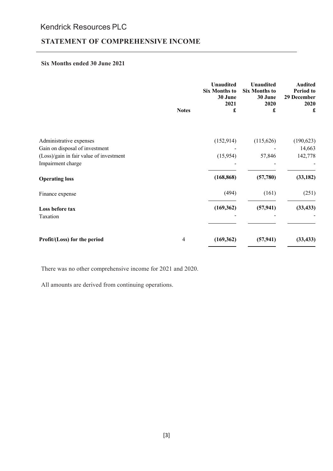### **STATEMENT OF COMPREHENSIVE INCOME**

#### **Six Months ended 30 June 2021**

|                                                              | <b>Notes</b> | <b>Unaudited</b><br><b>Six Months to</b><br>30 June<br>2021<br>£ | <b>Unaudited</b><br><b>Six Months to</b><br>30 June<br>2020<br>£ | <b>Audited</b><br><b>Period</b> to<br>29 December<br>2020<br>£ |
|--------------------------------------------------------------|--------------|------------------------------------------------------------------|------------------------------------------------------------------|----------------------------------------------------------------|
|                                                              |              |                                                                  |                                                                  |                                                                |
| Administrative expenses<br>Gain on disposal of investment    |              | (152, 914)                                                       | (115, 626)                                                       | (190, 623)<br>14,663                                           |
| (Loss)/gain in fair value of investment<br>Impairment charge |              | (15,954)                                                         | 57,846                                                           | 142,778                                                        |
| <b>Operating loss</b>                                        |              | (168, 868)                                                       | (57,780)                                                         | (33, 182)                                                      |
| Finance expense                                              |              | (494)                                                            | (161)                                                            | (251)                                                          |
| Loss before tax<br>Taxation                                  |              | (169, 362)                                                       | (57, 941)                                                        | (33, 433)                                                      |
| Profit/(Loss) for the period                                 | 4            | (169, 362)                                                       | (57, 941)                                                        | (33, 433)                                                      |

There was no other comprehensive income for 2021 and 2020.

All amounts are derived from continuing operations.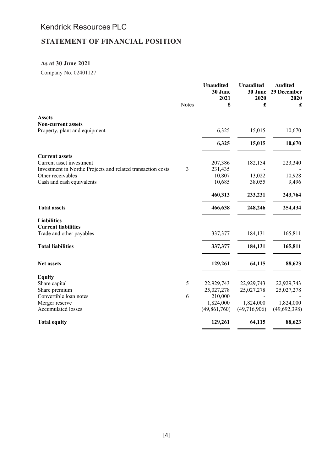## **STATEMENT OF FINANCIAL POSITION**

#### **As at 30 June 2021**

Company No. 02401127

|                                                             |       | <b>Unaudited</b><br>30 June<br>2021 | <b>Unaudited</b><br>30 June<br>2020 | <b>Audited</b><br>29 December<br>2020 |
|-------------------------------------------------------------|-------|-------------------------------------|-------------------------------------|---------------------------------------|
|                                                             | Notes | £                                   | £                                   | £                                     |
| <b>Assets</b>                                               |       |                                     |                                     |                                       |
| <b>Non-current assets</b>                                   |       |                                     |                                     |                                       |
| Property, plant and equipment                               |       | 6,325                               | 15,015                              | 10,670                                |
|                                                             |       | 6,325                               | 15,015                              | 10,670                                |
| <b>Current assets</b>                                       |       |                                     |                                     |                                       |
| Current asset investment                                    |       | 207,386                             | 182,154                             | 223,340                               |
| Investment in Nordic Projects and related transaction costs | 3     | 231,435                             |                                     |                                       |
| Other receivables                                           |       | 10,807                              | 13,022                              | 10,928                                |
| Cash and cash equivalents                                   |       | 10,685                              | 38,055                              | 9,496                                 |
|                                                             |       | 460,313                             | 233,231                             | 243,764                               |
| <b>Total assets</b>                                         |       | 466,638                             | 248,246                             | 254,434                               |
| <b>Liabilities</b>                                          |       |                                     |                                     |                                       |
| <b>Current liabilities</b>                                  |       |                                     |                                     |                                       |
| Trade and other payables                                    |       | 337,377                             | 184,131                             | 165,811                               |
| <b>Total liabilities</b>                                    |       | 337,377                             | 184,131                             | 165,811                               |
| <b>Net assets</b>                                           |       | 129,261                             | 64,115                              | 88,623                                |
| <b>Equity</b>                                               |       |                                     |                                     |                                       |
| Share capital                                               | 5     | 22,929,743                          | 22,929,743                          | 22,929,743                            |
| Share premium                                               |       | 25,027,278                          | 25,027,278                          | 25,027,278                            |
| Convertible loan notes                                      | 6     | 210,000                             |                                     |                                       |
| Merger reserve                                              |       | 1,824,000                           | 1,824,000                           | 1,824,000                             |
| <b>Accumulated losses</b>                                   |       | (49, 861, 760)                      | (49,716,906)                        | (49, 692, 398)                        |
| <b>Total equity</b>                                         |       | 129,261                             | 64,115                              | 88,623                                |
|                                                             |       |                                     |                                     |                                       |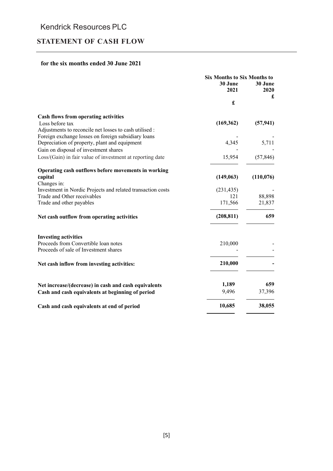## **STATEMENT OF CASH FLOW**

### **for the six months ended 30 June 2021**

|                                                             | <b>Six Months to Six Months to</b> |                 |  |
|-------------------------------------------------------------|------------------------------------|-----------------|--|
|                                                             | 30 June<br>2021                    | 30 June<br>2020 |  |
|                                                             | £                                  | £               |  |
| <b>Cash flows from operating activities</b>                 |                                    |                 |  |
| Loss before tax                                             | (169, 362)                         | (57, 941)       |  |
| Adjustments to reconcile net losses to cash utilised :      |                                    |                 |  |
| Foreign exchange losses on foreign subsidiary loans         |                                    |                 |  |
| Depreciation of property, plant and equipment               | 4,345                              | 5,711           |  |
| Gain on disposal of investment shares                       |                                    |                 |  |
| Loss/(Gain) in fair value of investment at reporting date   | 15,954                             | (57, 846)       |  |
| Operating cash outflows before movements in working         |                                    |                 |  |
| capital                                                     | (149,063)                          | (110, 076)      |  |
| Changes in:                                                 |                                    |                 |  |
| Investment in Nordic Projects and related transaction costs | (231, 435)                         |                 |  |
| Trade and Other receivables                                 | 121                                | 88,898          |  |
| Trade and other payables                                    | 171,566                            | 21,837          |  |
| Net cash outflow from operating activities                  | (208, 811)                         | 659             |  |
| <b>Investing activities</b>                                 |                                    |                 |  |
| Proceeds from Convertible loan notes                        | 210,000                            |                 |  |
| Proceeds of sale of Investment shares                       |                                    |                 |  |
|                                                             |                                    |                 |  |
| Net cash inflow from investing activities:                  | 210,000                            |                 |  |
|                                                             |                                    |                 |  |
| Net increase/(decrease) in cash and cash equivalents        | 1,189                              | 659             |  |
| Cash and cash equivalents at beginning of period            | 9,496                              | 37,396          |  |
| Cash and cash equivalents at end of period                  | 10,685                             | 38,055          |  |
|                                                             |                                    |                 |  |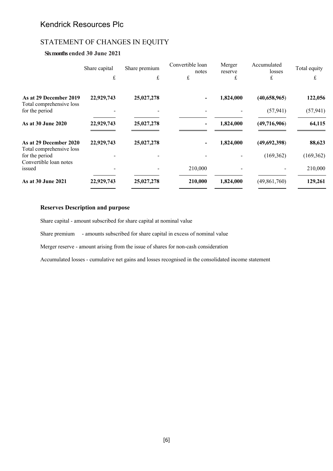## STATEMENT OF CHANGES IN EQUITY

### **Six months ended 30 June 2021**

|                                                    | Share capital | Share premium | Convertible loan<br>notes | Merger<br>reserve | Accumulated<br>losses | Total equity |
|----------------------------------------------------|---------------|---------------|---------------------------|-------------------|-----------------------|--------------|
|                                                    | $\pounds$     | £             | £                         | £                 | £                     | £            |
| As at 29 December 2019<br>Total comprehensive loss | 22,929,743    | 25,027,278    |                           | 1,824,000         | (40,658,965)          | 122,056      |
| for the period                                     |               |               |                           |                   | (57, 941)             | (57, 941)    |
| As at 30 June 2020                                 | 22,929,743    | 25,027,278    |                           | 1,824,000         | (49,716,906)          | 64,115       |
| As at 29 December 2020<br>Total comprehensive loss | 22,929,743    | 25,027,278    |                           | 1,824,000         | (49,692,398)          | 88,623       |
| for the period                                     |               |               |                           |                   | (169, 362)            | (169, 362)   |
| Convertible loan notes<br>issued                   |               |               | 210,000                   |                   |                       | 210,000      |
| As at 30 June 2021                                 | 22,929,743    | 25,027,278    | 210,000                   | 1,824,000         | (49, 861, 760)        | 129,261      |

#### **Reserves Description and purpose**

Share capital - amount subscribed for share capital at nominal value

Share premium - amounts subscribed for share capital in excess of nominal value

Merger reserve - amount arising from the issue of shares for non-cash consideration

Accumulated losses - cumulative net gains and losses recognised in the consolidated income statement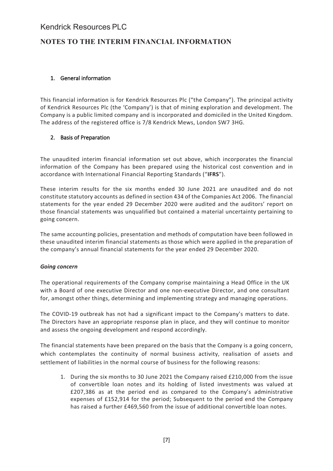## **NOTES TO THE INTERIM FINANCIAL INFORMATION**

### 1. General information

This financial information is for Kendrick Resources Plc ("the Company"). The principal activity of Kendrick Resources Plc (the 'Company') is that of mining exploration and development. The Company is a public limited company and is incorporated and domiciled in the United Kingdom. The address of the registered office is 7/8 Kendrick Mews, London SW7 3HG.

### 2. Basis of Preparation

The unaudited interim financial information set out above, which incorporates the financial information of the Company has been prepared using the historical cost convention and in accordance with International Financial Reporting Standards ("**IFRS**").

These interim results for the six months ended 30 June 2021 are unaudited and do not constitute statutory accounts as defined in section 434 of the Companies Act 2006. The financial statements for the year ended 29 December 2020 were audited and the auditors' report on those financial statements was unqualified but contained a material uncertainty pertaining to going concern.

The same accounting policies, presentation and methods of computation have been followed in these unaudited interim financial statements as those which were applied in the preparation of the company's annual financial statements for the year ended 29 December 2020.

### *Going concern*

The operational requirements of the Company comprise maintaining a Head Office in the UK with a Board of one executive Director and one non-executive Director, and one consultant for, amongst other things, determining and implementing strategy and managing operations.

The COVID-19 outbreak has not had a significant impact to the Company's matters to date. The Directors have an appropriate response plan in place, and they will continue to monitor and assess the ongoing development and respond accordingly.

The financial statements have been prepared on the basis that the Company is a going concern, which contemplates the continuity of normal business activity, realisation of assets and settlement of liabilities in the normal course of business for the following reasons:

1. During the six months to 30 June 2021 the Company raised £210,000 from the issue of convertible loan notes and its holding of listed investments was valued at £207,386 as at the period end as compared to the Company's administrative expenses of £152,914 for the period; Subsequent to the period end the Company has raised a further £469,560 from the issue of additional convertible loan notes.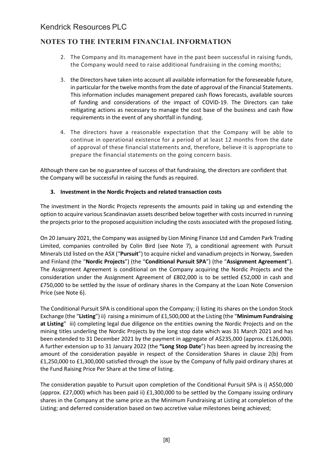## **NOTES TO THE INTERIM FINANCIAL INFORMATION**

- 2. The Company and its management have in the past been successful in raising funds, the Company would need to raise additional fundraising in the coming months;
- 3. the Directors have taken into account all available information for the foreseeable future, in particular for the twelve months from the date of approval of the Financial Statements. This information includes management prepared cash flows forecasts, available sources of funding and considerations of the impact of COVID-19. The Directors can take mitigating actions as necessary to manage the cost base of the business and cash flow requirements in the event of any shortfall in funding.
- 4. The directors have a reasonable expectation that the Company will be able to continue in operational existence for a period of at least 12 months from the date of approval of these financial statements and, therefore, believe it is appropriate to prepare the financial statements on the going concern basis.

Although there can be no guarantee of success of that fundraising, the directors are confident that the Company will be successful in raising the funds as required.

### **3. Investment in the Nordic Projects and related transaction costs**

The investment in the Nordic Projects represents the amounts paid in taking up and extending the option to acquire various Scandinavian assets described below together with costs incurred in running the projects prior to the proposed acquisition including the costs associated with the proposed listing.

On 20 January 2021, the Company was assigned by Lion Mining Finance Ltd and Camden Park Trading Limited, companies controlled by Colin Bird (see Note 7), a conditional agreement with Pursuit Minerals Ltd listed on the ASX ("**Pursuit**") to acquire nickel and vanadium projects in Norway, Sweden and Finland (the "**Nordic Projects**") (the "**Conditional Pursuit SPA**") (the "**Assignment Agreement**"). The Assignment Agreement is conditional on the Company acquiring the Nordic Projects and the consideration under the Assignment Agreement of £802,000 is to be settled £52,000 in cash and £750,000 to be settled by the issue of ordinary shares in the Company at the Loan Note Conversion Price (see Note 6).

The Conditional Pursuit SPA is conditional upon the Company; i) listing its shares on the London Stock Exchange (the "**Listing**") ii) raising a minimum of £1,500,000 at the Listing (the "**Minimum Fundraising at Listing**" iii) completing legal due diligence on the entities owning the Nordic Projects and on the mining titles underling the Nordic Projects by the long stop date which was 31 March 2021 and has been extended to 31 December 2021 by the payment in aggregate of A\$235,000 (approx. £126,000). A further extension up to 31 January 2022 (the **"Long Stop Date**") has been agreed by increasing the amount of the consideration payable in respect of the Consideration Shares in clause 2(b) from £1,250,000 to £1,300,000 satisfied through the issue by the Company of fully paid ordinary shares at the Fund Raising Price Per Share at the time of listing.

The consideration payable to Pursuit upon completion of the Conditional Pursuit SPA is i) A\$50,000 (approx. £27,000) which has been paid ii) £1,300,000 to be settled by the Company issuing ordinary shares in the Company at the same price as the Minimum Fundraising at Listing at completion of the Listing; and deferred consideration based on two accretive value milestones being achieved;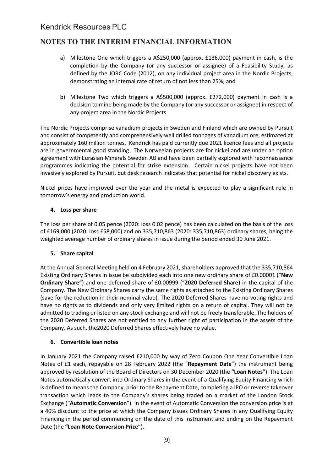## **NOTES TO THE INTERIM FINANCIAL INFORMATION**

- a) Milestone One which triggers a A\$250,000 (approx. £136,000) payment in cash, is the completion by the Company (or any successor or assignee) of a Feasibility Study, as defined by the JORC Code (2012), on any individual project area in the Nordic Projects, demonstrating an internal rate of return of not less than 25%; and
- b) Milestone Two which triggers a A\$500,000 (approx. £272,000) payment in cash is a decision to mine being made by the Company (or any successor or assignee) in respect of any project area in the Nordic Projects.

The Nordic Projects comprise vanadium projects in Sweden and Finland which are owned by Pursuit and consist of competently and comprehensively well drilled tonnages of vanadium ore, estimated at approximately 160 million tonnes. Kendrick has paid currently due 2021 licence fees and all projects are in governmental good standing. The Norwegian projects are for nickel and are under an option agreement with Eurasian Minerals Sweden AB and have been partially explored with reconnaissance programmes indicating the potential for strike extension. Certain nickel projects have not been invasively explored by Pursuit, but desk research indicates that potential for nickel discovery exists.

Nickel prices have improved over the year and the metal is expected to play a significant role in tomorrow's energy and production world.

### **4. Loss per share**

The loss per share of 0.05 pence (2020: loss 0.02 pence) has been calculated on the basis of the loss of £169,000 (2020: loss £58,000) and on 335,710,863 (2020: 335,710,863) ordinary shares, being the weighted average number of ordinary shares in issue during the period ended 30 June 2021.

### **5. Share capital**

At the Annual General Meeting held on 4 February 2021, shareholders approved that the 335,710,864 Existing Ordinary Shares in issue be subdivided each into one new ordinary share of £0.00001 ("**New Ordinary Share**") and one deferred share of £0.00999 ("**2020 Deferred Share)** in the capital of the Company. The New Ordinary Shares carry the same rights as attached to the Existing Ordinary Shares (save for the reduction in their nominal value). The 2020 Deferred Shares have no voting rights and have no rights as to dividends and only very limited rights on a return of capital. They will not be admitted to trading or listed on any stock exchange and will not be freely transferable. The holders of the 2020 Deferred Shares are not entitled to any further right of participation in the assets of the Company. As such, the2020 Deferred Shares effectively have no value.

### **6. Convertible loan notes**

In January 2021 the Company raised £210,000 by way of Zero Coupon One Year Convertible Loan Notes of £1 each, repayable on 28 February 2022 (the "**Repayment Date**") the instrument being approved by resolution of the Board of Directors on 30 December 2020 (the **"Loan Notes**"). The Loan Notes automatically convert into Ordinary Shares in the event of a Qualifying Equity Financing which is defined to means the Company, prior to the Repayment Date, completing a IPO or reverse takeover transaction which leads to the Company's shares being traded on a market of the London Stock Exchange ("**Automatic Conversion**"). In the event of Automatic Conversion the conversion price is at a 40% discount to the price at which the Company issues Ordinary Shares in any Qualifying Equity Financing in the period commencing on the date of this Instrument and ending on the Repayment Date (the **"Loan Note Conversion Price**").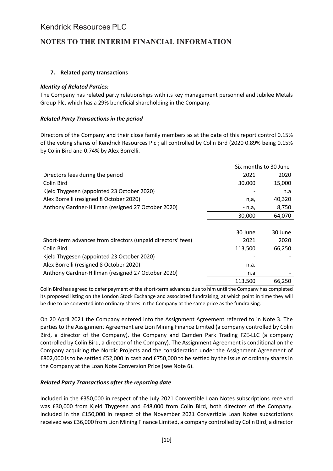## **NOTES TO THE INTERIM FINANCIAL INFORMATION**

### **7. Related party transactions**

### *Identity of Related Parties:*

The Company has related party relationships with its key management personnel and Jubilee Metals Group Plc, which has a 29% beneficial shareholding in the Company.

### *Related Party Transactions in the period*

Directors of the Company and their close family members as at the date of this report control 0.15% of the voting shares of Kendrick Resources Plc ; all controlled by Colin Bird (2020 0.89% being 0.15% by Colin Bird and 0.74% by Alex Borrelli.

|                                                             |         | Six months to 30 June |
|-------------------------------------------------------------|---------|-----------------------|
| Directors fees during the period                            | 2021    | 2020                  |
| Colin Bird                                                  | 30,000  | 15,000                |
| Kjeld Thygesen (appointed 23 October 2020)                  |         | n.a                   |
| Alex Borrelli (resigned 8 October 2020)                     | n,a,    | 40,320                |
| Anthony Gardner-Hillman (resigned 27 October 2020)          | - n,a,  | 8,750                 |
|                                                             | 30,000  | 64,070                |
|                                                             |         |                       |
|                                                             | 30 June | 30 June               |
| Short-term advances from directors (unpaid directors' fees) | 2021    | 2020                  |
| Colin Bird                                                  | 113,500 | 66,250                |
| Kjeld Thygesen (appointed 23 October 2020)                  |         |                       |
| Alex Borrelli (resigned 8 October 2020)                     | n.a.    |                       |
| Anthony Gardner-Hillman (resigned 27 October 2020)          | n.a     |                       |
|                                                             | 113,500 | 66,250                |

Colin Bird has agreed to defer payment of the short-term advances due to him until the Company has completed its proposed listing on the London Stock Exchange and associated fundraising, at which point in time they will be due to be converted into ordinary shares in the Company at the same price as the fundraising.

On 20 April 2021 the Company entered into the Assignment Agreement referred to in Note 3. The parties to the Assignment Agreement are Lion Mining Finance Limited (a company controlled by Colin Bird, a director of the Company), the Company and Camden Park Trading FZE-LLC (a company controlled by Colin Bird, a director of the Company). The Assignment Agreement is conditional on the Company acquiring the Nordic Projects and the consideration under the Assignment Agreement of £802,000 is to be settled £52,000 in cash and £750,000 to be settled by the issue of ordinary shares in the Company at the Loan Note Conversion Price (see Note 6).

### *Related Party Transactions after the reporting date*

Included in the £350,000 in respect of the July 2021 Convertible Loan Notes subscriptions received was £30,000 from Kjeld Thygesen and £48,000 from Colin Bird, both directors of the Company. Included in the £150,000 in respect of the November 2021 Convertible Loan Notes subscriptions received was £36,000 from Lion Mining Finance Limited, a company controlled by Colin Bird, a director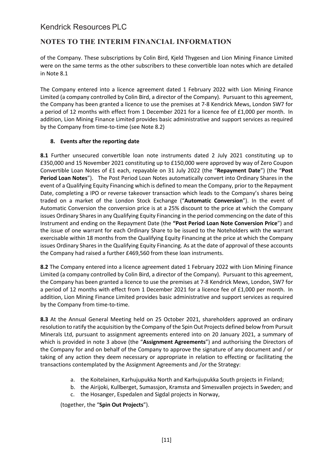## **NOTES TO THE INTERIM FINANCIAL INFORMATION**

of the Company. These subscriptions by Colin Bird, Kjeld Thygesen and Lion Mining Finance Limited were on the same terms as the other subscribers to these convertible loan notes which are detailed in Note 8.1

The Company entered into a licence agreement dated 1 February 2022 with Lion Mining Finance Limited (a company controlled by Colin Bird, a director of the Company). Pursuant to this agreement, the Company has been granted a licence to use the premises at 7-8 Kendrick Mews, London SW7 for a period of 12 months with effect from 1 December 2021 for a licence fee of £1,000 per month. In addition, Lion Mining Finance Limited provides basic administrative and support services as required by the Company from time-to-time (see Note 8.2)

### **8. Events after the reporting date**

**8.1** Further unsecured convertible loan note instruments dated 2 July 2021 constituting up to £350,000 and 15 November 2021 constituting up to £150,000 were approved by way of Zero Coupon Convertible Loan Notes of £1 each, repayable on 31 July 2022 (the "**Repayment Date**") (the "**Post Period Loan Notes**"). The Post Period Loan Notes automatically convert into Ordinary Shares in the event of a Qualifying Equity Financing which is defined to mean the Company, prior to the Repayment Date, completing a IPO or reverse takeover transaction which leads to the Company's shares being traded on a market of the London Stock Exchange ("**Automatic Conversion**"). In the event of Automatic Conversion the conversion price is at a 25% discount to the price at which the Company issues Ordinary Shares in any Qualifying Equity Financing in the period commencing on the date of this Instrument and ending on the Repayment Date (the **"Post Period Loan Note Conversion Price**") and the issue of one warrant for each Ordinary Share to be issued to the Noteholders with the warrant exercisable within 18 months from the Qualifying Equity Financing at the price at which the Company issues Ordinary Shares in the Qualifying Equity Financing. As at the date of approval of these accounts the Company had raised a further £469,560 from these loan instruments.

**8.2** The Company entered into a licence agreement dated 1 February 2022 with Lion Mining Finance Limited (a company controlled by Colin Bird, a director of the Company). Pursuant to this agreement, the Company has been granted a licence to use the premises at 7-8 Kendrick Mews, London, SW7 for a period of 12 months with effect from 1 December 2021 for a licence fee of £1,000 per month. In addition, Lion Mining Finance Limited provides basic administrative and support services as required by the Company from time-to-time.

**8.3** At the Annual General Meeting held on 25 October 2021, shareholders approved an ordinary resolution to ratify the acquisition by the Company of the Spin Out Projects defined below from Pursuit Minerals Ltd, pursuant to assignment agreements entered into on 20 January 2021, a summary of which is provided in note 3 above (the "**Assignment Agreements**") and authorising the Directors of the Company for and on behalf of the Company to approve the signature of any document and / or taking of any action they deem necessary or appropriate in relation to effecting or facilitating the transactions contemplated by the Assignment Agreements and /or the Strategy:

- a. the Koitelainen, Karhujupukka North and Karhujupukka South projects in Finland;
- b. the Airijoki, Kullberget, Sumassjon, Kramsta and Simesvallen projects in Sweden; and
- c. the Hosanger, Espedalen and Sigdal projects in Norway,

(together, the "**Spin Out Projects**").